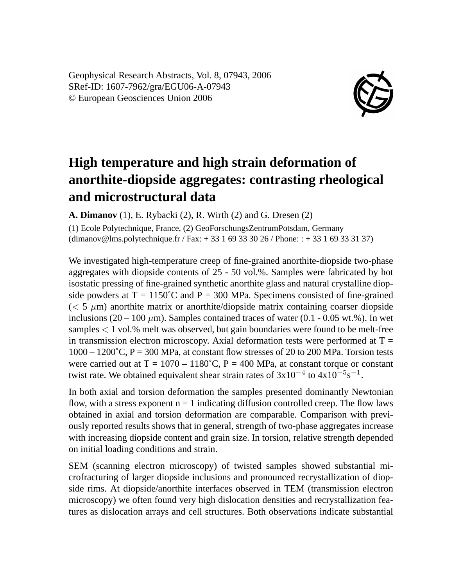Geophysical Research Abstracts, Vol. 8, 07943, 2006 SRef-ID: 1607-7962/gra/EGU06-A-07943 © European Geosciences Union 2006



## **High temperature and high strain deformation of anorthite-diopside aggregates: contrasting rheological and microstructural data**

**A. Dimanov** (1), E. Rybacki (2), R. Wirth (2) and G. Dresen (2)

(1) Ecole Polytechnique, France, (2) GeoForschungsZentrumPotsdam, Germany (dimanov@lms.polytechnique.fr / Fax: + 33 1 69 33 30 26 / Phone: : + 33 1 69 33 31 37)

We investigated high-temperature creep of fine-grained anorthite-diopside two-phase aggregates with diopside contents of 25 - 50 vol.%. Samples were fabricated by hot isostatic pressing of fine-grained synthetic anorthite glass and natural crystalline diopside powders at  $T = 1150^{\circ}$ C and  $P = 300$  MPa. Specimens consisted of fine-grained  $(< 5 \mu m)$  anorthite matrix or anorthite/diopside matrix containing coarser diopside inclusions (20 – 100  $\mu$ m). Samples contained traces of water (0.1 - 0.05 wt.%). In wet samples < 1 vol.% melt was observed, but gain boundaries were found to be melt-free in transmission electron microscopy. Axial deformation tests were performed at  $T =$  $1000 - 1200$ °C, P = 300 MPa, at constant flow stresses of 20 to 200 MPa. Torsion tests were carried out at  $T = 1070 - 1180^{\circ}$ C, P = 400 MPa, at constant torque or constant twist rate. We obtained equivalent shear strain rates of  $3x10^{-4}$  to  $4x10^{-5}s^{-1}$ .

In both axial and torsion deformation the samples presented dominantly Newtonian flow, with a stress exponent  $n = 1$  indicating diffusion controlled creep. The flow laws obtained in axial and torsion deformation are comparable. Comparison with previously reported results shows that in general, strength of two-phase aggregates increase with increasing diopside content and grain size. In torsion, relative strength depended on initial loading conditions and strain.

SEM (scanning electron microscopy) of twisted samples showed substantial microfracturing of larger diopside inclusions and pronounced recrystallization of diopside rims. At diopside/anorthite interfaces observed in TEM (transmission electron microscopy) we often found very high dislocation densities and recrystallization features as dislocation arrays and cell structures. Both observations indicate substantial